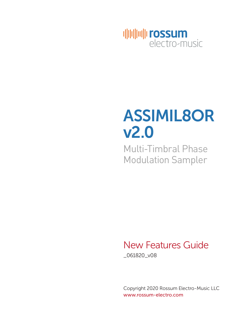

# ASSIMIL8OR v2.0

Multi-Timbral Phase Modulation Sampler

### New Features Guide

\_061820\_v08

Copyright 2020 Rossum Electro-Music LLC www.rossum-electro.com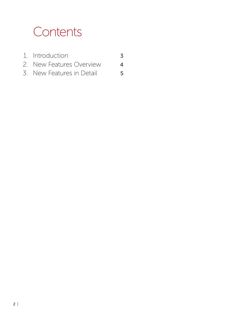### **Contents**

- 1. Introduction 3 2. New Features Overview 4
- 3. New Features in Detail 5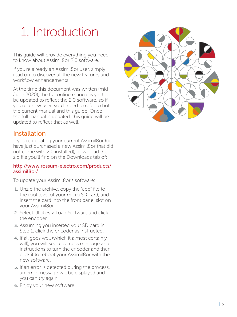## 1. Introduction

This guide will provide everything you need to know about Assimil8or 2.0 software

If you're already an Assimil8or user, simply read on to discover all the new features and workflow enhancements.

At the time this document was written (mid-June 2020), the full online manual is yet to be updated to reflect the 2.0 software, so if you're a new user, you'll need to refer to both the current manual and this guide. Once the full manual is updated, this guide will be updated to reflect that as well.

#### Installation

If you're updating your current Assimil8or (or have just purchased a new Assimil8or that did not come with 2.0 installed), download the zip file you'll find on the Downloads tab of:

#### http://www.rossum-electro.com/products/ assimil8or/

To update your Assimil8or's software:

- 1. Unzip the archive, copy the "app" file to the root level of your micro SD card, and insert the card into the front panel slot on your Assimil8or.
- 2. Select Utilities > Load Software and click the encoder.
- 3. Assuming you inserted your SD card in Step 1, click the encoder as instructed.
- 4. If all goes well (which it almost certainly will), you will see a success message and instructions to turn the encoder and then click it to reboot your Assimil8or with the new software.
- 5. If an error is detected during the process, an error message will be displayed and you can try again.
- 6. Enjoy your new software.

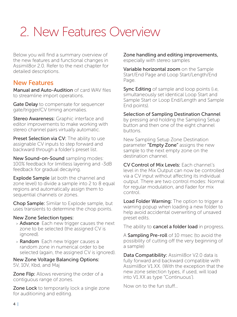### 2. New Features Overview

Below you will find a summary overview of the new features and functional changes in Assimil8or 2.0. Refer to the next chapter for detailed descriptions.

#### New Features

Manual and Auto-Audition of card WAV files to streamline import operations.

Gate Delay to compensate for sequencer gate/trigger/CV timing anomalies.

Stereo Awareness: Graphic interface and editor improvements to make working with stereo channel pairs virtually automatic.

**Preset Selection via CV:** The ability to use assignable CV inputs to step forward and backward through a folder's preset list.

New Sound-on-Sound sampling modes: 100% feedback for limitless layering and -3dB feedback for gradual decaying.

**Explode Sample** (at both the channel and zone level) to divide a sample into 2 to 8 equal regions and automatically assign them to sequential channels or zones.

Chop Sample: Similar to Explode sample, but uses transients to determine the chop points.

#### New Zone Selection types:

- > Advance Each new trigger causes the next zone to be selected (the assigned CV is ignored).
- > Random Each new trigger causes a random zone in numerical order to be selected (again, the assigned CV is ignored).

New Zone Voltage Balancing Options: 5V, 10V, Kbd, and Maj

**Zone Flip:** Allows reversing the order of a contiguous range of zones.

**Zone Lock** to temporarily lock a single zone for auditioning and editing.

Zone handling and editing improvements, especially with stereo samples

Variable horizontal zoom on the Sample Start/End Page and Loop Start/Length/End Page.

**Sync Editing** of sample and loop points (i.e, simultaneously set identical Loop Start and Sample Start or Loop End/Length and Sample End points).

#### Selection of Sampling Destination Channel

by pressing and holding the Sampling Setup button and then one of the eight channel buttons.

New Sampling Setup Zone Destination parameter "Empty Zone" assigns the new sample to the next empty zone on the destination channel.

CV Control of Mix Levels: Each channel's level in the Mix Output can now be controlled via a CV input without affecting its individual output. There are two control modes: Normal for regular modulation, and Fader for mix control.

Load Folder Warning: The option to trigger a warning popup when loading a new folder to help avoid accidental overwriting of unsaved preset edits.

The ability to **cancel a folder load** in progress.

A Sampling Pre-roll of 10 msec (to avoid the possibility of cutting off the very beginning of a sample)

Data Compatibility: Assimil8or V2.0 data is fully forward and backward compatible with Assimil8or V1.XX. (With the exception that the new zone selection types, if used, will load into V1.XX as type "Continuous').

Now on to the fun stuff…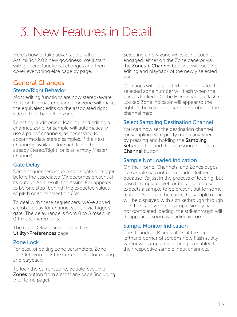### 3. New Features in Detail

Here's how to take advantage of all of Assimil8or 2.0's new goodness. We'll start with general functional changes and then cover everything else page by page.

#### General Changes Stereo/Right Behavior

Most editing functions are now stereo-aware. Edits on the master channel or zone will make the equivalent edits on the associated right side of the channel or zone.

Selecting, auditioning, loading, and editing a channel, zone, or sample will automatically use a pair of channels, as necessary, to accommodate stereo samples, if the next channel is available for such (i.e. either is already Stereo/Right, or is an empty Master channel).

#### Gate Delay

Some sequencers issue a step's gate or trigger before the associated CV becomes present at its output. As a result, the Assimil8or appears to be one step "behind" the expected values of pitch or zone selection CVs.

To deal with these sequencers, we've added a global delay for channel startup via trigger/ gate. The delay range is from 0 to 5 msec, in 0.1 msec increments.

The Gate Delay is selected on the Utility>Preferences page.

#### Zone Lock

For ease of editing zone parameters, Zone Lock lets you lock the current zone for editing and playback.

To lock the current zone, double-click the **Zones** button from almost any page (including the Home page).

Selecting a new zone while Zone Lock is engaged, either on the Zone page or via the Zones + Channel buttons, will lock the editing and playback of the newly selected zone.

On pages with a selected zone indicator, the selected zone number will flash when the zone is locked. On the Home page, a flashing Locked Zone indicator will appear to the right of the selected channel number in the channel map.

#### Select Sampling Destination Channel

You can now set the destination channel for sampling from pretty much anywhere by pressing and holding the Sampling **Setup** button and then pressing the desired Channel button.

#### Sample Not Loaded Indication

On the Home, Channels, and Zones pages, if a sample has not been loaded (either because it's just in the process of loading, but hasn't completed yet, or because a preset expects a sample to be present but for some reason it's not on the card), the sample name will be displayed with a strikethrough through it. In the case where a sample simply had not completed loading, the strikethrough will disappear as soon as loading is complete.

#### Sample Monitor Indication

The "L" and/or "R" indicators at the top lefthand corner of screens now flash subtly whenever sample monitoring is enabled for their respective sample input channels.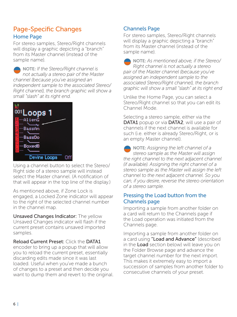#### Page-Specific Changes Home Page

For stereo samples, Stereo/Right channels will display a graphic depicting a "branch" from its Master channel (instead of the sample name).

NOTE: *If the Stereo/Right channel is not actually a stereo pair of the Master channel (because you've assigned an independent sample to the associated Stereo/ Right channel), the branch graphic will show a small "slash" at its right end.*



Using a channel button to select the Stereo/ Right side of a stereo sample will instead select the Master channel. (A notification of that will appear in the top line of the display.)

As mentioned above, if Zone Lock is engaged, a Locked Zone indicator will appear to the right of the selected channel number in the channel map.

Unsaved Changes Indicator: The yellow Unsaved Changes indicator will flash if the current preset contains unsaved imported samples.

Reload Current Preset: Click the DATA1 encoder to bring up a popup that will allow you to reload the current preset, essentially discarding edits made since it was last loaded. Useful when you've made a bunch of changes to a preset and then decide you want to dump them and revert to the original.

#### Channels Page

For stereo samples, Stereo/Right channels will display a graphic depicting a "branch" from its Master channel (instead of the sample name).

NOTE: *As mentioned above, if the Stereo/ Right channel is not actually a stereo pair of the Master channel (because you've assigned an independent sample to the associated Stereo/Right channel), the branch graphic will show a small "slash" at its right end* 

Unlike the Home Page, you can select a Stereo/Right channel so that you can edit its Channel Mode.

Selecting a stereo sample, either via the DATA1 popup or via DATA2, will use a pair of channels if the next channel is available for such (i.e. either is already Stereo/Right, or is an empty Master channel).

NOTE: *Assigning the left channel of a stereo sample as the Master will assign the right channel to the next adjacent channel (if available). Assigning the right channel of a stereo sample as the Master will assign the left channel to the next adjacent channel. So you can, if you desire, reverse the stereo orientation of a stereo sample.*

#### Pressing the Load button from the Channels page

Importing a sample from another folder on a card will return to the Channels page if the Load operation was initiated from the Channels page.

Importing a sample from another folder on a card using "Load and Advance" (described in the Load section below) will leave you on the Folder Browse page and advance the target channel number for the next import. This makes it extremely easy to import a succession of samples from another folder to consecutive channels of your preset.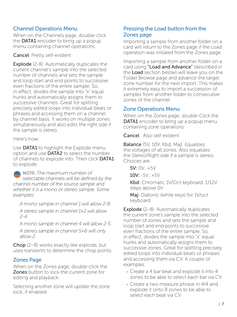#### Channel Operations Menu

When on the Channels page, double-click the **DATA1** encoder to bring up a popup menu containing channel operations:

Cancel Pretty self-evident

**Explode** (2-8) Automatically duplicates the current channel's sample into the selected number of channels and sets the sample and loop start and end points to successive even fractions of the entire sample. So, in effect, divides the sample into "x" equal hunks and automatically assigns them to successive channels. Great for splitting precisely edited loops into individual beats or phrases and accessing them on a channel by channel basis. It works on multiple zones simultaneously and also edits the right side if the sample is stereo.

Here's how:

Use **DATA1** to highlight the Explode menu option and use DATA2 to select the number of channels to explode into. Then click DATA1 to explode.

NOTE: *The maximum number of selectable channels will be defined by the channel number of the source sample and whether it is a mono or stereo sample. Some examples:*

*A mono sample in channel 1 will allow 2-8. A stereo sample in channel 1+2 will allow 2-4.*

*A mono sample in channel 4 will allow 2-5.*

*A stereo sample in channel 5+6 will only allow 2.*

Chop (2-8) works exactly like explode, but uses transients to determine the chop points.

#### Zones Page

When on the Zones page, double-click the Zones button to lock the current zone for editing and playback.

Selecting another zone will update the zone lock, if enabled.

#### Pressing the Load button from the Zones page

Importing a sample from another folder on a card will return to the Zones page if the Load operation was initiated from the Zones page.

Importing a sample from another folder on a card using "Load and Advance" (described in the Load section below) will leave you on the Folder Browse page and advance the target zone number for the next import. This makes it extremely easy to import a succession of samples from another folder to consecutive zones of the channel.

#### Zone Operations Menu

When on the Zones page, double-Click the DATA1 encoder to bring up a popup menu containing zone operations:

Cancel Also self-evident

Balance (5V, 10V, Kbd, Maj) Equalizes the voltages of all zones. Also equalizes the Stereo/Right side if a sample is stereo. Choices are:

 $5V: 0V + 5V$ 

10V: -5V…+5V

Kbd: Chromatic 1V/Oct keyboard. 1/12V steps above 0V

Maj: Diatonic (white keys) for 1V/oct keyboard

Explode (2-8) Automatically duplicates the current zone's sample into the selected number of zones and sets the sample and loop start and end points to successive even fractions of the entire sample. So, in effect, divides the sample into "x" equal hunks and automatically assigns them to successive zones. Great for splitting precisely edited loops into individual beats or phrases and accessing them via CV. A couple of examples:

- > Create a 4 bar beat and explode it into 4 zones to be able to select each bar via CV.
- > Create a two measure phrase in 4/4 and explode it onto 8 zones to be able to select each beat via CV.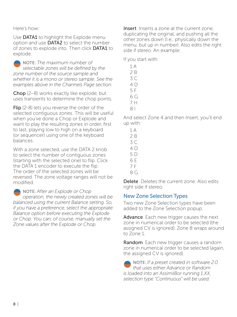Here's how:

Use **DATA1** to highlight the Explode menu option and use DATA2 to select the number of zones to explode into. Then click DATA1 to explode.

NOTE: *The maximum number of selectable zones will be defined by the zone number of the source sample and whether it is a mono or stereo sample. See the examples above in the Channels Page section.*

Chop (2–8) works exactly like explode, but uses transients to determine the chop points.

Flip (2-8) lets you reverse the order of the selected contiguous zones. This will be useful when you've done a Chop or Explode and want to play the resulting zones in order, first to last, playing low to high on a keyboard (or sequencer) using one of the keyboard balances.

With a zone selected, use the DATA 2 knob to select the number of contiguous zones (starting with the selected one) to flip. Click the DATA 1 encoder to execute the flip. The order of the selected zones will be reversed. The zone voltage ranges will not be modified.

NOTE: *After an Explode or Chop operation, the newly created zones will be balanced using the current Balance setting. So, if you have a preference, select the appropriate Balance option before executing the Explode or Chop. You can, of course, manually set the Zone values after the Explode or Chop.*

Insert Inserts a zone at the current zone, duplicating the original, and pushing all the other zones down (I.e., physically down the menu, but up in number). Also edits the right side if stereo. An example:

If you start with:

- 1 A 2 B 3 C 4 D 5 F 6 G 7 H
- 8 I

And select Zone 4 and then Insert, you'll end up with:

- 1 A  $2B$
- 3 C
- 4 D
- 5 D
- 6 E
- 7 F
- 8 G

Delete Deletes the current zone. Also edits right side if stereo.

#### New Zone Selection Types

Two new Zone Selection types have been added to the Zone Selection popup:

Advance Each new trigger causes the next zone in numerical order to be selected (the assigned CV is ignored). Zone 8 wraps around to Zone 1.

**Random** Each new trigger causes a random zone in numerical order to be selected (again, the assigned CV is ignored).

NOTE: *If a preset created in software 2.0 that uses either Advance or Random is loaded into an Assimil8or running 1.XX, selection type "Continuous" will be used.*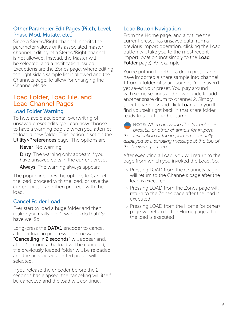#### Other Parameter Edit Pages (Pitch, Level, Phase Mod, Mutate, etc.)

Since a Stereo/Right channel inherits the parameter values of its associated master channel, editing of a Stereo/Right channel is not allowed. Instead, the Master will be selected, and a notification issued. Exceptions are the Zones page, where editing the right side's sample list is allowed and the Channels page, to allow for changing the Channel Mode.

### Load Folder, Load File, and Load Channel Pages

#### Load Folder Warning

To help avoid accidental overwriting of unsaved preset edits, you can now choose to have a warning pop up when you attempt to load a new folder. This option is set on the Utility>Preferences page. The options are:

Never No warning

Dirty The warning only appears if you have unsaved edits in the current preset

**Always** The warning always appears

The popup includes the options to Cancel the load, proceed with the load, or save the current preset and then proceed with the load.

#### Cancel Folder Load

Ever start to load a huge folder and then realize you really didn't want to do that? So have we. So:

Long-press the **DATA1** encoder to cancel a folder load in progress. The message "Cancelling in 2 seconds" will appear and, after 2 seconds, the load will be canceled, the previously loaded folder will be reloaded, and the previously selected preset will be selected.

If you release the encoder before the 2 seconds has elapsed, the canceling will itself be cancelled and the load will continue.

#### Load Button Navigation

From the Home page, and any time the current preset has unsaved data from a previous import operation, clicking the Load button will take you to the most recent import location (not simply to the Load Folder page). An example:

You're putting together a drum preset and have imported a snare sample into channel 1 from a folder of snare sounds. You haven't yet saved your preset. You play around with some settings and now decide to add another snare drum to channel 2. Simply select channel 2 and click Load and you'll find yourself right back in that snare folder, ready to select another sample.

NOTE: *When browsing files (samples or presets), or other channels for import, the destination of the import is continually displayed as a scrolling message at the top of the browsing screen.*

After executing a Load, you will return to the page from which you invoked the Load. So:

- > Pressing LOAD from the Channels page will return to the Channels page after the load is executed
- > Pressing LOAD from the Zones page will return to the Zones page after the load is executed
- > Pressing LOAD from the Home (or other) page will return to the Home page after the load is executed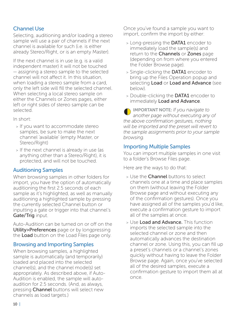#### Channel Use

Selecting, auditioning and/or loading a stereo sample will use a pair of channels if the next channel is available for such (i.e. is either already Stereo/Right, or is an empty Master).

If the next channel is in use (e.g. is a valid independent master) it will not be touched — assigning a stereo sample to the selected channel will not affect it. In this situation, when loading a stereo sample from a card, only the left side will fill the selected channel. When selecting a local stereo sample on either the Channels or Zones pages, either left or right sides of stereo sample can be selected.

In short:

- > If you want to accommodate stereo samples, be sure to make the next channel 'available' (empty Master, or Stereo/Right)
- > If the next channel is already in use (as anything other than a Stereo/Right), it is protected, and will not be touched.

#### Auditioning Samples

When browsing samples in other folders for import, you have the option of automatically auditioning the first 2.5 seconds of each sample as it's highlighted, as well as manually auditioning a highlighted sample by pressing the currently selected Channel button or inputting a gate or trigger into that channel's Gate/Trig input.

Auto-Audition can be turned on or off on the Utility>Preferences page or by longpressing the Load button on the Load Files page only.

#### Browsing and Importing Samples

When browsing samples, a highlighted sample is automatically (and temporarily) loaded and placed into the selected channel(s), and the channel mode(s) set appropriately. As described above, if Auto-Audition is enabled, the sample will autoaudition for 2.5 seconds. (And, as always, pressing **Channel** buttons will select new channels as load targets.)

Once you've found a sample you want to import, confirm the import by either:

- > Long-pressing the **DATA1** encoder to immediately load the sample(s) and return to the Channels or Zones page (depending on from where you entered the Folder Browse page).
- > Single-clicking the DATA1 encoder to bring up the Files Operation popup and selecting Load or Load and Advance (see below).
- > Double-clicking the DATA1 encoder to immediately Load and Advance.

IMPORTANT NOTE: *If you navigate to another page without executing any of the above confirmation gestures, nothing will be imported and the preset will revert to the sample assignments prior to your sample browsing.*

#### Importing Multiple Samples

You can import multiple samples in one visit to a folder's Browse Files page.

Here are the ways to do that:

- > Use the **Channel** buttons to select channels one at a time and place samples on them (without leaving the Folder Browse page and without executing any of the confirmation gestures). Once you have assigned all of the samples you'd like, execute a confirmation gesture to import all of the samples at once.
- > Use Load and Advance. This function imports the selected sample into the selected channel or zone and then automatically advances the destination channel or zone. Using this, you can fill up a preset's channels or a channel's zones quickly without having to leave the Folder Browse page. Again, once you've selected all of the desired samples, execute a confirmation gesture to import them all at once.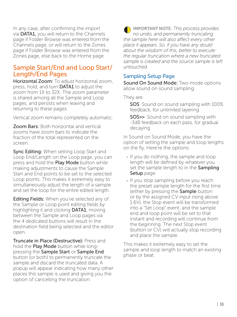In any case, after confirming the import via DATA1, you will return to the Channels page if Folder Browse was entered from the Channels page, or will return to the Zones page if Folder Browse was entered from the Zones page, else back to the Home page.

#### Sample Start/End and Loop Start/ Length/End Pages

Horizontal Zoom: To adjust horizontal zoom, press, hold, and turn **DATA1** to adjust the zoom from 1X to 32X. The zoom parameter is shared among all the Sample and Loop pages, and persists when leaving and returning to these pages.

Vertical zoom remains completely automatic.

**Zoom Bars: Both horizontal and vertical** zooms have zoom bars to indicate the fraction of the total represented on the screen.

**Sync Editing:** When setting Loop Start and Loop End/Length on the Loop page, you can press and hold the Play Mode button while making adjustments to cause the Sample Start and End points to be set to the selected Loop points. This makes it extremely easy to simultaneously adjust the length of a sample and set the loop for the entire edited length.

Editing Fields: When you've selected any of the Sample or Loop point editing fields by highlighting it and clicking **DATA1**, moving between the Sample and Loop pages via the 4 dedicated buttons will result in the destination field being selected and the editor open.

Truncate in Place (Destructive): Press and hold the **Play Mode** button while longpressing the Sample Start or Sample End button (or both) to permanently truncate the sample and discard the truncated data. A popup will appear indicating how many other places this sample is used and giving you the option of cancelling the truncation.

IMPORTANT NOTE: *This process provides no undo, and permanently truncating the sample here will also affect every other place it appears. So, if you have any doubt about the wisdom of this, better to execute the regular truncation where a new truncated sample is created and the source sample is left untouched.*

#### Sampling Setup Page

Sound On Sound Mode: Two mode options allow sound on sound sampling.

They are:

SOS Sound on sound sampling with 100% feedback, for unlimited layering

SOS>> Sound on sound sampling with -3dB feedback on each pass, for gradual decaying.

In Sound on Sound Mode, you have the option of setting the sample and loop lengths on the fly. Here're the options:

- > If you do nothing, the sample and loop length will be defined by whatever you set the sample length to in the Sampling Setup page.
- > If you stop sampling before you reach the preset sample length for the first time (either by pressing the Sample button or by the assigned CV input rising above 1.6V), the Stop event will be transformed into a "Set Loop" event, and the sample end and loop point will be set to that instant and recording will continue from the beginning. The next Stop event (button or CV) will actually stop recording and place the sample.

This makes it extremely easy to set the sample and loop length to match an existing phase or beat.